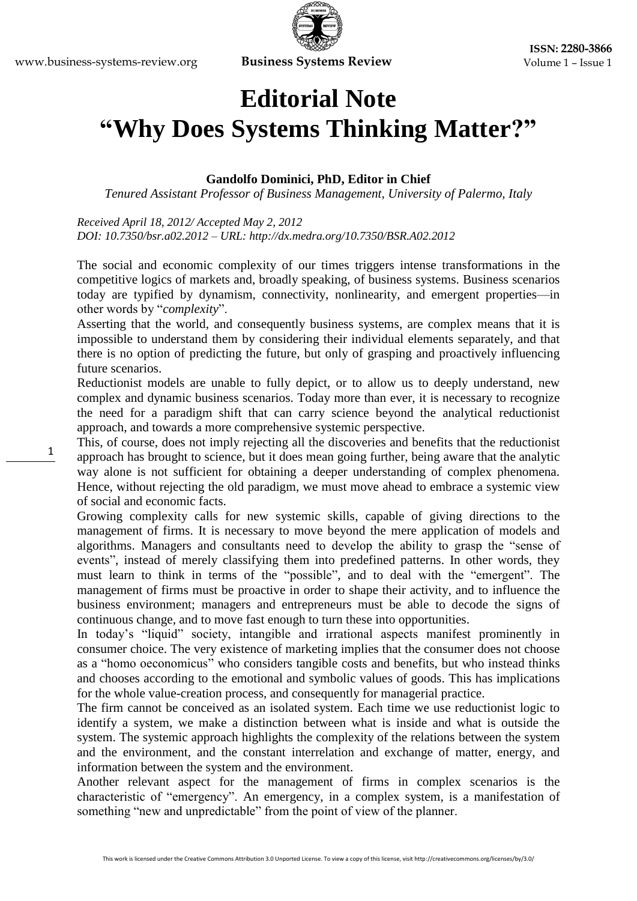## **Editorial Note "Why Does Systems Thinking Matter?"**

## **Gandolfo Dominici, PhD, Editor in Chief**

*Tenured Assistant Professor of Business Management, University of Palermo, Italy*

*Received April 18, 2012/ Accepted May 2, 2012 DOI: 10.7350/bsr.a02.2012 – URL: http://dx.medra.org/10.7350/BSR.A02.2012*

The social and economic complexity of our times triggers intense transformations in the competitive logics of markets and, broadly speaking, of business systems. Business scenarios today are typified by dynamism, connectivity, nonlinearity, and emergent properties—in other words by "*complexity*".

Asserting that the world, and consequently business systems, are complex means that it is impossible to understand them by considering their individual elements separately, and that there is no option of predicting the future, but only of grasping and proactively influencing future scenarios.

Reductionist models are unable to fully depict, or to allow us to deeply understand, new complex and dynamic business scenarios. Today more than ever, it is necessary to recognize the need for a paradigm shift that can carry science beyond the analytical reductionist approach, and towards a more comprehensive systemic perspective.

This, of course, does not imply rejecting all the discoveries and benefits that the reductionist approach has brought to science, but it does mean going further, being aware that the analytic way alone is not sufficient for obtaining a deeper understanding of complex phenomena. Hence, without rejecting the old paradigm, we must move ahead to embrace a systemic view of social and economic facts.

Growing complexity calls for new systemic skills, capable of giving directions to the management of firms. It is necessary to move beyond the mere application of models and algorithms. Managers and consultants need to develop the ability to grasp the "sense of events", instead of merely classifying them into predefined patterns. In other words, they must learn to think in terms of the "possible", and to deal with the "emergent". The management of firms must be proactive in order to shape their activity, and to influence the business environment; managers and entrepreneurs must be able to decode the signs of continuous change, and to move fast enough to turn these into opportunities.

In today's "liquid" society, intangible and irrational aspects manifest prominently in consumer choice. The very existence of marketing implies that the consumer does not choose as a "homo oeconomicus" who considers tangible costs and benefits, but who instead thinks and chooses according to the emotional and symbolic values of goods. This has implications for the whole value-creation process, and consequently for managerial practice.

The firm cannot be conceived as an isolated system. Each time we use reductionist logic to identify a system, we make a distinction between what is inside and what is outside the system. The systemic approach highlights the complexity of the relations between the system and the environment, and the constant interrelation and exchange of matter, energy, and information between the system and the environment.

Another relevant aspect for the management of firms in complex scenarios is the characteristic of "emergency". An emergency, in a complex system, is a manifestation of something "new and unpredictable" from the point of view of the planner.